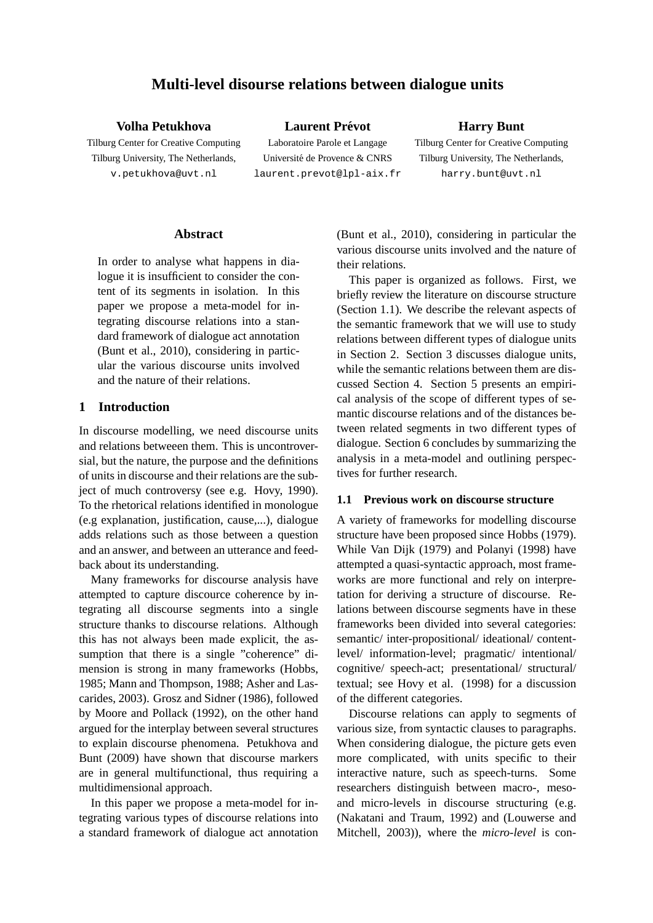# **Multi-level disourse relations between dialogue units**

**Volha Petukhova**

Tilburg Center for Creative Computing Tilburg University, The Netherlands, v.petukhova@uvt.nl

**Laurent Prevot ´** Laboratoire Parole et Langage Université de Provence & CNRS laurent.prevot@lpl-aix.fr **Harry Bunt**

Tilburg Center for Creative Computing Tilburg University, The Netherlands, harry.bunt@uvt.nl

### **Abstract**

In order to analyse what happens in dialogue it is insufficient to consider the content of its segments in isolation. In this paper we propose a meta-model for integrating discourse relations into a standard framework of dialogue act annotation (Bunt et al., 2010), considering in particular the various discourse units involved and the nature of their relations.

## **1 Introduction**

In discourse modelling, we need discourse units and relations betweeen them. This is uncontroversial, but the nature, the purpose and the definitions of units in discourse and their relations are the subject of much controversy (see e.g. Hovy, 1990). To the rhetorical relations identified in monologue (e.g explanation, justification, cause,...), dialogue adds relations such as those between a question and an answer, and between an utterance and feedback about its understanding.

Many frameworks for discourse analysis have attempted to capture discource coherence by integrating all discourse segments into a single structure thanks to discourse relations. Although this has not always been made explicit, the assumption that there is a single "coherence" dimension is strong in many frameworks (Hobbs, 1985; Mann and Thompson, 1988; Asher and Lascarides, 2003). Grosz and Sidner (1986), followed by Moore and Pollack (1992), on the other hand argued for the interplay between several structures to explain discourse phenomena. Petukhova and Bunt (2009) have shown that discourse markers are in general multifunctional, thus requiring a multidimensional approach.

In this paper we propose a meta-model for integrating various types of discourse relations into a standard framework of dialogue act annotation (Bunt et al., 2010), considering in particular the various discourse units involved and the nature of their relations.

This paper is organized as follows. First, we briefly review the literature on discourse structure (Section 1.1). We describe the relevant aspects of the semantic framework that we will use to study relations between different types of dialogue units in Section 2. Section 3 discusses dialogue units, while the semantic relations between them are discussed Section 4. Section 5 presents an empirical analysis of the scope of different types of semantic discourse relations and of the distances between related segments in two different types of dialogue. Section 6 concludes by summarizing the analysis in a meta-model and outlining perspectives for further research.

### **1.1 Previous work on discourse structure**

A variety of frameworks for modelling discourse structure have been proposed since Hobbs (1979). While Van Dijk (1979) and Polanyi (1998) have attempted a quasi-syntactic approach, most frameworks are more functional and rely on interpretation for deriving a structure of discourse. Relations between discourse segments have in these frameworks been divided into several categories: semantic/ inter-propositional/ ideational/ contentlevel/ information-level; pragmatic/ intentional/ cognitive/ speech-act; presentational/ structural/ textual; see Hovy et al. (1998) for a discussion of the different categories.

Discourse relations can apply to segments of various size, from syntactic clauses to paragraphs. When considering dialogue, the picture gets even more complicated, with units specific to their interactive nature, such as speech-turns. Some researchers distinguish between macro-, mesoand micro-levels in discourse structuring (e.g. (Nakatani and Traum, 1992) and (Louwerse and Mitchell, 2003)), where the *micro-level* is con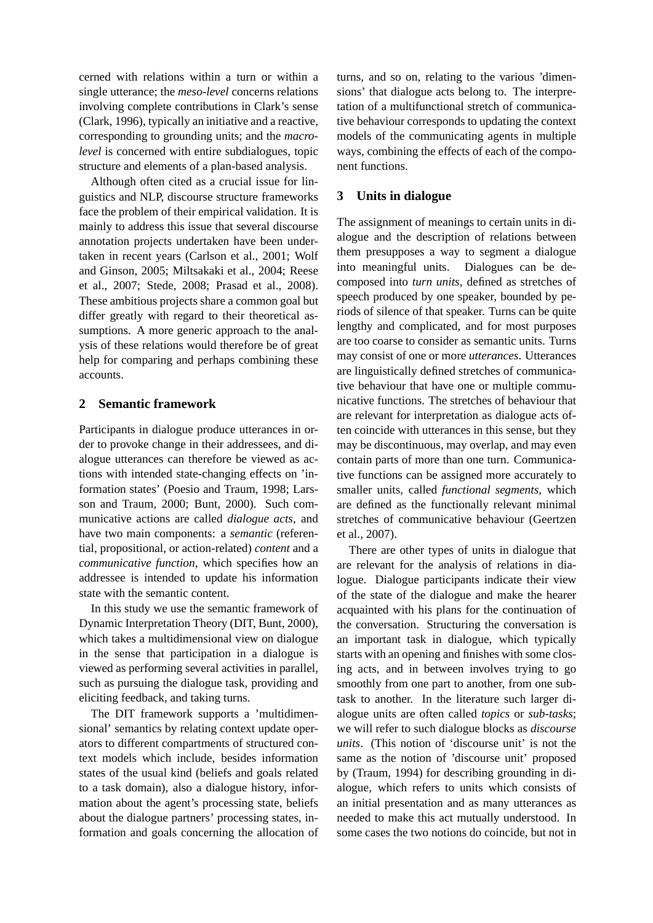cerned with relations within a turn or within a single utterance; the *meso-level* concerns relations involving complete contributions in Clark's sense (Clark, 1996), typically an initiative and a reactive, corresponding to grounding units; and the *macrolevel* is concerned with entire subdialogues, topic structure and elements of a plan-based analysis.

Although often cited as a crucial issue for linguistics and NLP, discourse structure frameworks face the problem of their empirical validation. It is mainly to address this issue that several discourse annotation projects undertaken have been undertaken in recent years (Carlson et al., 2001; Wolf and Ginson, 2005; Miltsakaki et al., 2004; Reese et al., 2007; Stede, 2008; Prasad et al., 2008). These ambitious projects share a common goal but differ greatly with regard to their theoretical assumptions. A more generic approach to the analysis of these relations would therefore be of great help for comparing and perhaps combining these accounts.

## **2 Semantic framework**

Participants in dialogue produce utterances in order to provoke change in their addressees, and dialogue utterances can therefore be viewed as actions with intended state-changing effects on 'information states' (Poesio and Traum, 1998; Larsson and Traum, 2000; Bunt, 2000). Such communicative actions are called *dialogue acts*, and have two main components: a *semantic* (referential, propositional, or action-related) *content* and a *communicative function*, which specifies how an addressee is intended to update his information state with the semantic content.

In this study we use the semantic framework of Dynamic Interpretation Theory (DIT, Bunt, 2000), which takes a multidimensional view on dialogue in the sense that participation in a dialogue is viewed as performing several activities in parallel, such as pursuing the dialogue task, providing and eliciting feedback, and taking turns.

The DIT framework supports a 'multidimensional' semantics by relating context update operators to different compartments of structured context models which include, besides information states of the usual kind (beliefs and goals related to a task domain), also a dialogue history, information about the agent's processing state, beliefs about the dialogue partners' processing states, information and goals concerning the allocation of turns, and so on, relating to the various 'dimensions' that dialogue acts belong to. The interpretation of a multifunctional stretch of communicative behaviour corresponds to updating the context models of the communicating agents in multiple ways, combining the effects of each of the component functions.

# **3 Units in dialogue**

The assignment of meanings to certain units in dialogue and the description of relations between them presupposes a way to segment a dialogue into meaningful units. Dialogues can be decomposed into *turn units*, defined as stretches of speech produced by one speaker, bounded by periods of silence of that speaker. Turns can be quite lengthy and complicated, and for most purposes are too coarse to consider as semantic units. Turns may consist of one or more *utterances*. Utterances are linguistically defined stretches of communicative behaviour that have one or multiple communicative functions. The stretches of behaviour that are relevant for interpretation as dialogue acts often coincide with utterances in this sense, but they may be discontinuous, may overlap, and may even contain parts of more than one turn. Communicative functions can be assigned more accurately to smaller units, called *functional segments*, which are defined as the functionally relevant minimal stretches of communicative behaviour (Geertzen et al., 2007).

There are other types of units in dialogue that are relevant for the analysis of relations in dialogue. Dialogue participants indicate their view of the state of the dialogue and make the hearer acquainted with his plans for the continuation of the conversation. Structuring the conversation is an important task in dialogue, which typically starts with an opening and finishes with some closing acts, and in between involves trying to go smoothly from one part to another, from one subtask to another. In the literature such larger dialogue units are often called *topics* or *sub-tasks*; we will refer to such dialogue blocks as *discourse units*. (This notion of 'discourse unit' is not the same as the notion of 'discourse unit' proposed by (Traum, 1994) for describing grounding in dialogue, which refers to units which consists of an initial presentation and as many utterances as needed to make this act mutually understood. In some cases the two notions do coincide, but not in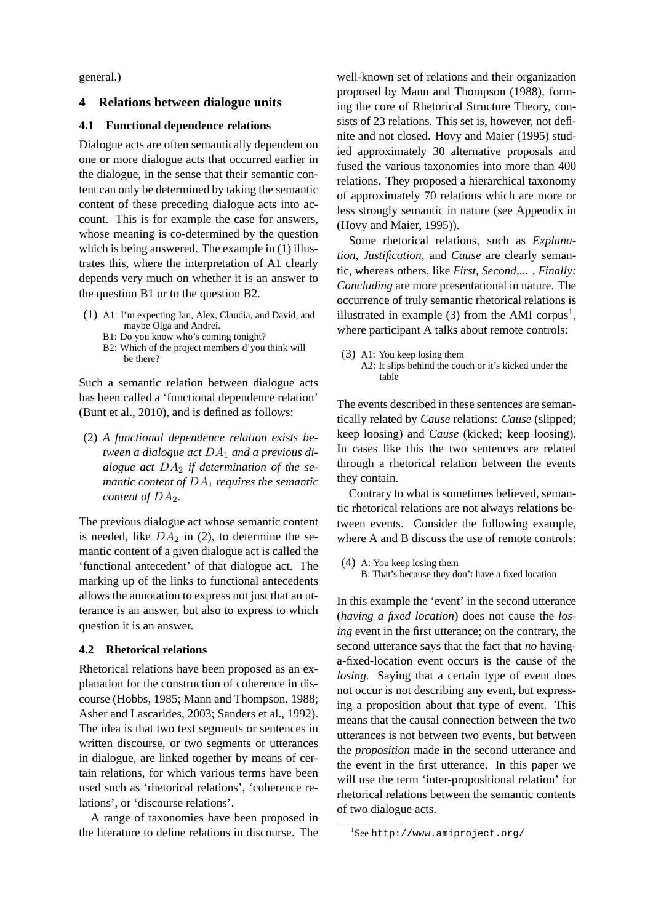general.)

## **4 Relations between dialogue units**

#### **4.1 Functional dependence relations**

Dialogue acts are often semantically dependent on one or more dialogue acts that occurred earlier in the dialogue, in the sense that their semantic content can only be determined by taking the semantic content of these preceding dialogue acts into account. This is for example the case for answers, whose meaning is co-determined by the question which is being answered. The example in  $(1)$  illustrates this, where the interpretation of A1 clearly depends very much on whether it is an answer to the question B1 or to the question B2.

- (1) A1: I'm expecting Jan, Alex, Claudia, and David, and maybe Olga and Andrei.
	- B1: Do you know who's coming tonight?
	- B2: Which of the project members d'you think will be there?

Such a semantic relation between dialogue acts has been called a 'functional dependence relation' (Bunt et al., 2010), and is defined as follows:

(2) *A functional dependence relation exists between a dialogue act* DA<sup>1</sup> *and a previous dialogue act* DA<sup>2</sup> *if determination of the semantic content of*  $DA_1$  *requires the semantic content of*  $DA_2$ *.* 

The previous dialogue act whose semantic content is needed, like  $DA_2$  in (2), to determine the semantic content of a given dialogue act is called the 'functional antecedent' of that dialogue act. The marking up of the links to functional antecedents allows the annotation to express not just that an utterance is an answer, but also to express to which question it is an answer.

## **4.2 Rhetorical relations**

Rhetorical relations have been proposed as an explanation for the construction of coherence in discourse (Hobbs, 1985; Mann and Thompson, 1988; Asher and Lascarides, 2003; Sanders et al., 1992). The idea is that two text segments or sentences in written discourse, or two segments or utterances in dialogue, are linked together by means of certain relations, for which various terms have been used such as 'rhetorical relations', 'coherence relations', or 'discourse relations'.

A range of taxonomies have been proposed in the literature to define relations in discourse. The

well-known set of relations and their organization proposed by Mann and Thompson (1988), forming the core of Rhetorical Structure Theory, consists of 23 relations. This set is, however, not definite and not closed. Hovy and Maier (1995) studied approximately 30 alternative proposals and fused the various taxonomies into more than 400 relations. They proposed a hierarchical taxonomy of approximately 70 relations which are more or less strongly semantic in nature (see Appendix in (Hovy and Maier, 1995)).

Some rhetorical relations, such as *Explanation, Justification*, and *Cause* are clearly semantic, whereas others, like *First, Second,... , Finally; Concluding* are more presentational in nature. The occurrence of truly semantic rhetorical relations is illustrated in example  $(3)$  from the AMI corpus<sup>1</sup>, where participant A talks about remote controls:

(3) A1: You keep losing them A2: It slips behind the couch or it's kicked under the table

The events described in these sentences are semantically related by *Cause* relations: *Cause* (slipped; keep loosing) and *Cause* (kicked; keep loosing). In cases like this the two sentences are related through a rhetorical relation between the events they contain.

Contrary to what is sometimes believed, semantic rhetorical relations are not always relations between events. Consider the following example, where A and B discuss the use of remote controls:

(4) A: You keep losing them B: That's because they don't have a fixed location

In this example the 'event' in the second utterance (*having a fixed location*) does not cause the *losing* event in the first utterance; on the contrary, the second utterance says that the fact that *no* havinga-fixed-location event occurs is the cause of the *losing*. Saying that a certain type of event does not occur is not describing any event, but expressing a proposition about that type of event. This means that the causal connection between the two utterances is not between two events, but between the *proposition* made in the second utterance and the event in the first utterance. In this paper we will use the term 'inter-propositional relation' for rhetorical relations between the semantic contents of two dialogue acts.

<sup>1</sup> See http://www.amiproject.org/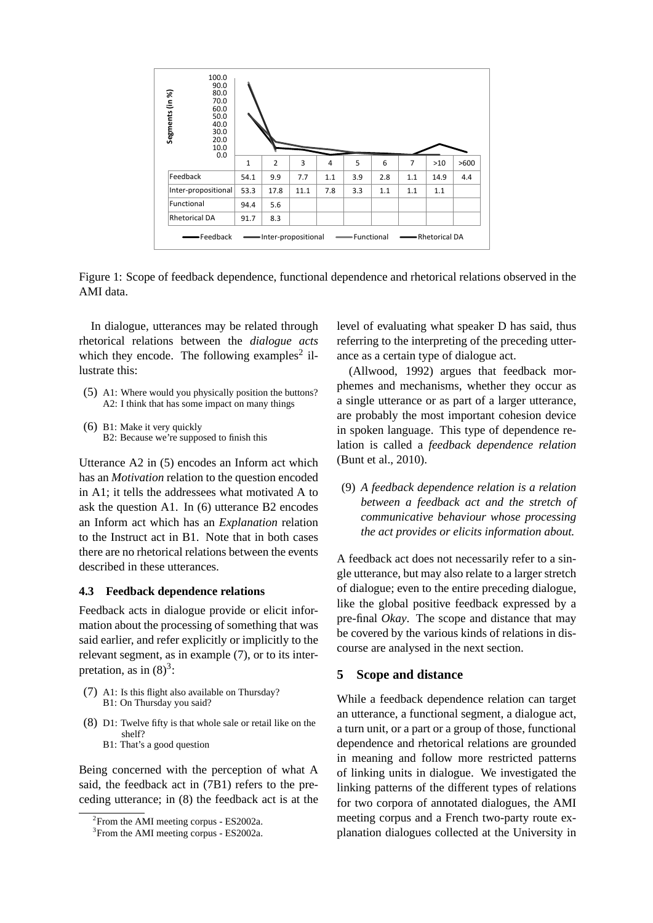

Figure 1: Scope of feedback dependence, functional dependence and rhetorical relations observed in the AMI data.

In dialogue, utterances may be related through rhetorical relations between the *dialogue acts* which they encode. The following examples<sup>2</sup> illustrate this:

- (5) A1: Where would you physically position the buttons? A2: I think that has some impact on many things
- (6) B1: Make it very quickly B2: Because we're supposed to finish this

Utterance A2 in (5) encodes an Inform act which has an *Motivation* relation to the question encoded in A1; it tells the addressees what motivated A to ask the question A1. In (6) utterance B2 encodes an Inform act which has an *Explanation* relation to the Instruct act in B1. Note that in both cases there are no rhetorical relations between the events described in these utterances.

#### **4.3 Feedback dependence relations**

Feedback acts in dialogue provide or elicit information about the processing of something that was said earlier, and refer explicitly or implicitly to the relevant segment, as in example (7), or to its interpretation, as in  $(8)^3$ :

- (7) A1: Is this flight also available on Thursday? B1: On Thursday you said?
- (8) D1: Twelve fifty is that whole sale or retail like on the shelf? B1: That's a good question

Being concerned with the perception of what A said, the feedback act in (7B1) refers to the preceding utterance; in (8) the feedback act is at the

level of evaluating what speaker D has said, thus referring to the interpreting of the preceding utterance as a certain type of dialogue act.

(Allwood, 1992) argues that feedback morphemes and mechanisms, whether they occur as a single utterance or as part of a larger utterance, are probably the most important cohesion device in spoken language. This type of dependence relation is called a *feedback dependence relation* (Bunt et al., 2010).

(9) *A feedback dependence relation is a relation between a feedback act and the stretch of communicative behaviour whose processing the act provides or elicits information about.*

A feedback act does not necessarily refer to a single utterance, but may also relate to a larger stretch of dialogue; even to the entire preceding dialogue, like the global positive feedback expressed by a pre-final *Okay*. The scope and distance that may be covered by the various kinds of relations in discourse are analysed in the next section.

## **5 Scope and distance**

While a feedback dependence relation can target an utterance, a functional segment, a dialogue act, a turn unit, or a part or a group of those, functional dependence and rhetorical relations are grounded in meaning and follow more restricted patterns of linking units in dialogue. We investigated the linking patterns of the different types of relations for two corpora of annotated dialogues, the AMI meeting corpus and a French two-party route explanation dialogues collected at the University in

<sup>&</sup>lt;sup>2</sup> From the AMI meeting corpus - ES2002a.

<sup>&</sup>lt;sup>3</sup> From the AMI meeting corpus - ES2002a.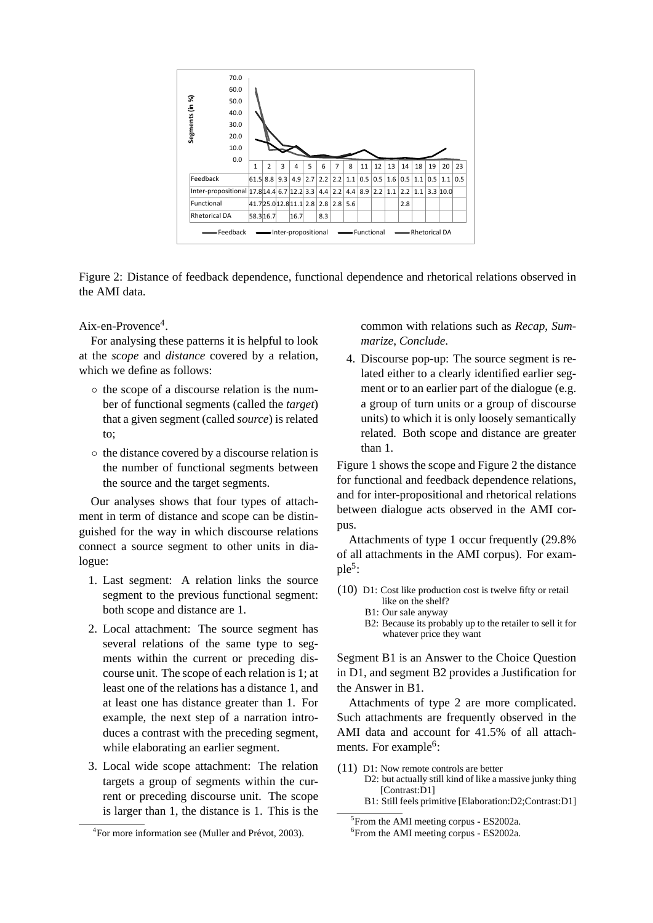

Figure 2: Distance of feedback dependence, functional dependence and rhetorical relations observed in the AMI data.

Aix-en-Provence<sup>4</sup>.

For analysing these patterns it is helpful to look at the *scope* and *distance* covered by a relation, which we define as follows:

- the scope of a discourse relation is the number of functional segments (called the *target*) that a given segment (called *source*) is related to;
- the distance covered by a discourse relation is the number of functional segments between the source and the target segments.

Our analyses shows that four types of attachment in term of distance and scope can be distinguished for the way in which discourse relations connect a source segment to other units in dialogue:

- 1. Last segment: A relation links the source segment to the previous functional segment: both scope and distance are 1.
- 2. Local attachment: The source segment has several relations of the same type to segments within the current or preceding discourse unit. The scope of each relation is 1; at least one of the relations has a distance 1, and at least one has distance greater than 1. For example, the next step of a narration introduces a contrast with the preceding segment, while elaborating an earlier segment.
- 3. Local wide scope attachment: The relation targets a group of segments within the current or preceding discourse unit. The scope is larger than 1, the distance is 1. This is the

common with relations such as *Recap*, *Summarize*, *Conclude*.

4. Discourse pop-up: The source segment is related either to a clearly identified earlier segment or to an earlier part of the dialogue (e.g. a group of turn units or a group of discourse units) to which it is only loosely semantically related. Both scope and distance are greater than 1.

Figure 1 shows the scope and Figure 2 the distance for functional and feedback dependence relations, and for inter-propositional and rhetorical relations between dialogue acts observed in the AMI corpus.

Attachments of type 1 occur frequently (29.8% of all attachments in the AMI corpus). For example<sup>5</sup>:

- (10) D1: Cost like production cost is twelve fifty or retail like on the shelf?
	- B1: Our sale anyway
	- B2: Because its probably up to the retailer to sell it for whatever price they want

Segment B1 is an Answer to the Choice Question in D1, and segment B2 provides a Justification for the Answer in B1.

Attachments of type 2 are more complicated. Such attachments are frequently observed in the AMI data and account for 41.5% of all attachments. For example<sup>6</sup>:

- (11) D1: Now remote controls are better
	- D2: but actually still kind of like a massive junky thing [Contrast:D1] B1: Still feels primitive [Elaboration:D2;Contrast:D1]

<sup>&</sup>lt;sup>4</sup> For more information see (Muller and Prévot, 2003).

<sup>5</sup> From the AMI meeting corpus - ES2002a.

<sup>6</sup> From the AMI meeting corpus - ES2002a.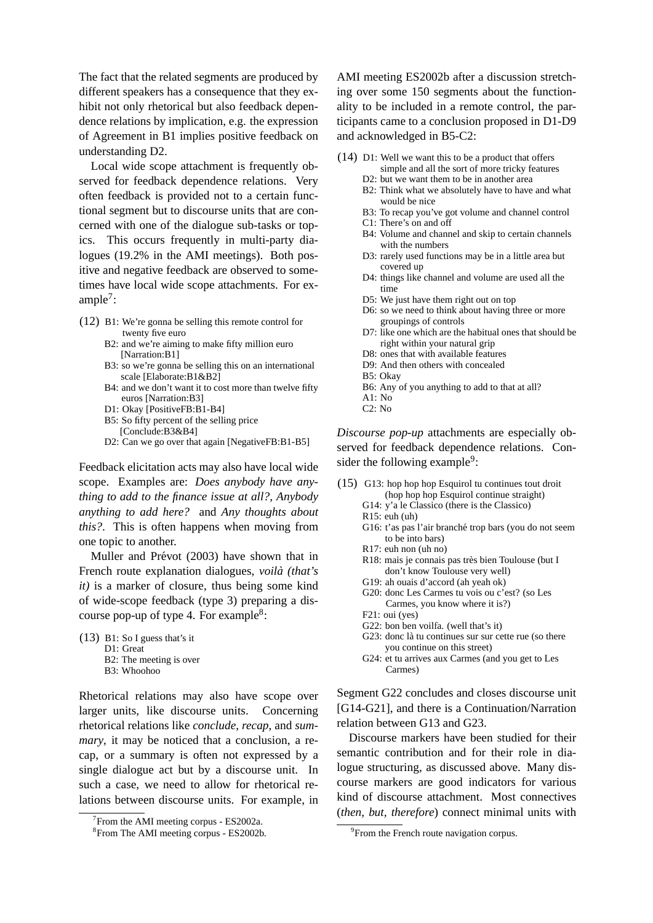The fact that the related segments are produced by different speakers has a consequence that they exhibit not only rhetorical but also feedback dependence relations by implication, e.g. the expression of Agreement in B1 implies positive feedback on understanding D2.

Local wide scope attachment is frequently observed for feedback dependence relations. Very often feedback is provided not to a certain functional segment but to discourse units that are concerned with one of the dialogue sub-tasks or topics. This occurs frequently in multi-party dialogues (19.2% in the AMI meetings). Both positive and negative feedback are observed to sometimes have local wide scope attachments. For ex $ample<sup>7</sup>$ :

- (12) B1: We're gonna be selling this remote control for twenty five euro
	- B2: and we're aiming to make fifty million euro [Narration:B1]
	- B3: so we're gonna be selling this on an international scale [Elaborate:B1&B2]
	- B4: and we don't want it to cost more than twelve fifty euros [Narration:B3]
	- D1: Okay [PositiveFB:B1-B4]
	- B5: So fifty percent of the selling price [Conclude:B3&B4]
	- D2: Can we go over that again [NegativeFB:B1-B5]

Feedback elicitation acts may also have local wide scope. Examples are: *Does anybody have anything to add to the finance issue at all?, Anybody anything to add here?* and *Any thoughts about this?*. This is often happens when moving from one topic to another.

Muller and Prévot (2003) have shown that in French route explanation dialogues, *voila (that's ` it)* is a marker of closure, thus being some kind of wide-scope feedback (type 3) preparing a discourse pop-up of type 4. For example<sup>8</sup>:

(13) B1: So I guess that's it D1: Great B2: The meeting is over

B3: Whoohoo

Rhetorical relations may also have scope over larger units, like discourse units. Concerning rhetorical relations like *conclude*, *recap*, and *summary*, it may be noticed that a conclusion, a recap, or a summary is often not expressed by a single dialogue act but by a discourse unit. In such a case, we need to allow for rhetorical relations between discourse units. For example, in AMI meeting ES2002b after a discussion stretching over some 150 segments about the functionality to be included in a remote control, the participants came to a conclusion proposed in D1-D9 and acknowledged in B5-C2:

- (14) D1: Well we want this to be a product that offers
	- simple and all the sort of more tricky features
	- D2: but we want them to be in another area
	- B2: Think what we absolutely have to have and what would be nice
	- B3: To recap you've got volume and channel control
	- C1: There's on and off
	- B4: Volume and channel and skip to certain channels with the numbers
	- D3: rarely used functions may be in a little area but covered up
	- D4: things like channel and volume are used all the time
	- D5: We just have them right out on top
	- D6: so we need to think about having three or more groupings of controls
	- D7: like one which are the habitual ones that should be right within your natural grip
	- D8: ones that with available features
	- D9: And then others with concealed
	- B5: Okay
	- B6: Any of you anything to add to that at all?
	- $A1 \cdot N_0$ C2: No

*Discourse pop-up* attachments are especially observed for feedback dependence relations. Con-

sider the following example<sup>9</sup>:

- (15) G13: hop hop hop Esquirol tu continues tout droit (hop hop hop Esquirol continue straight) G14: y'a le Classico (there is the Classico)
	- R15: euh (uh)
	- G16: t'as pas l'air branché trop bars (you do not seem to be into bars)
	- R17: euh non (uh no)
	- R18: mais je connais pas très bien Toulouse (but I don't know Toulouse very well)
	- G19: ah ouais d'accord (ah yeah ok)
	- G20: donc Les Carmes tu vois ou c'est? (so Les Carmes, you know where it is?)
	- F21: oui (yes)
	- G22: bon ben voilfa. (well that's it)
	- G23: donc là tu continues sur sur cette rue (so there you continue on this street)
	- G24: et tu arrives aux Carmes (and you get to Les Carmes)

Segment G22 concludes and closes discourse unit [G14-G21], and there is a Continuation/Narration relation between G13 and G23.

Discourse markers have been studied for their semantic contribution and for their role in dialogue structuring, as discussed above. Many discourse markers are good indicators for various kind of discourse attachment. Most connectives (*then, but, therefore*) connect minimal units with

<sup>&</sup>lt;sup>7</sup> From the AMI meeting corpus - ES2002a.

<sup>8</sup> From The AMI meeting corpus - ES2002b.

<sup>&</sup>lt;sup>9</sup> From the French route navigation corpus.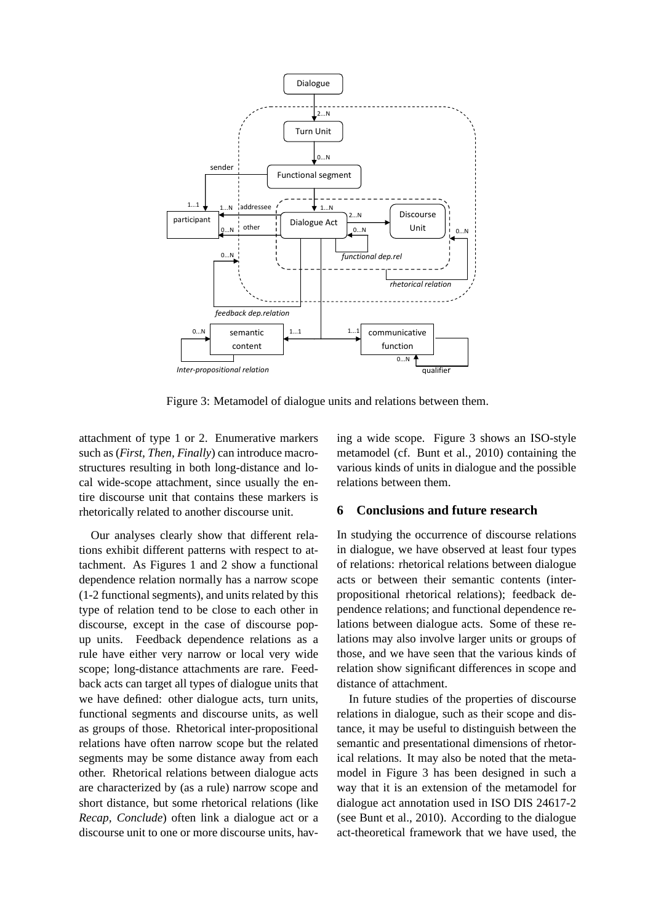

Figure 3: Metamodel of dialogue units and relations between them.

attachment of type 1 or 2. Enumerative markers such as (*First, Then, Finally*) can introduce macrostructures resulting in both long-distance and local wide-scope attachment, since usually the entire discourse unit that contains these markers is rhetorically related to another discourse unit.

Our analyses clearly show that different relations exhibit different patterns with respect to attachment. As Figures 1 and 2 show a functional dependence relation normally has a narrow scope (1-2 functional segments), and units related by this type of relation tend to be close to each other in discourse, except in the case of discourse popup units. Feedback dependence relations as a rule have either very narrow or local very wide scope; long-distance attachments are rare. Feedback acts can target all types of dialogue units that we have defined: other dialogue acts, turn units, functional segments and discourse units, as well as groups of those. Rhetorical inter-propositional relations have often narrow scope but the related segments may be some distance away from each other. Rhetorical relations between dialogue acts are characterized by (as a rule) narrow scope and short distance, but some rhetorical relations (like *Recap, Conclude*) often link a dialogue act or a discourse unit to one or more discourse units, having a wide scope. Figure 3 shows an ISO-style metamodel (cf. Bunt et al., 2010) containing the various kinds of units in dialogue and the possible relations between them.

## **6 Conclusions and future research**

In studying the occurrence of discourse relations in dialogue, we have observed at least four types of relations: rhetorical relations between dialogue acts or between their semantic contents (interpropositional rhetorical relations); feedback dependence relations; and functional dependence relations between dialogue acts. Some of these relations may also involve larger units or groups of those, and we have seen that the various kinds of relation show significant differences in scope and distance of attachment.

In future studies of the properties of discourse relations in dialogue, such as their scope and distance, it may be useful to distinguish between the semantic and presentational dimensions of rhetorical relations. It may also be noted that the metamodel in Figure 3 has been designed in such a way that it is an extension of the metamodel for dialogue act annotation used in ISO DIS 24617-2 (see Bunt et al., 2010). According to the dialogue act-theoretical framework that we have used, the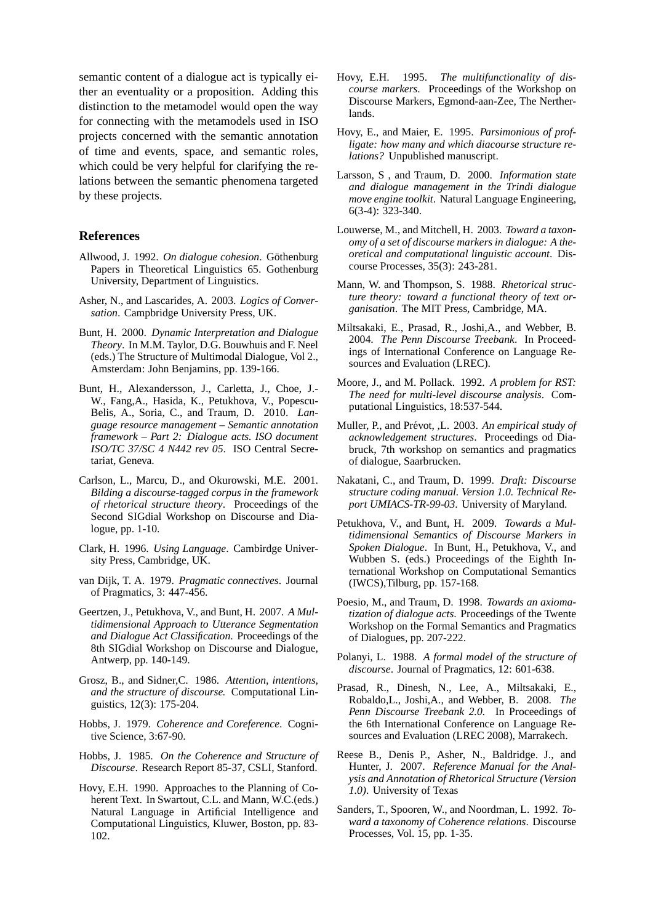semantic content of a dialogue act is typically either an eventuality or a proposition. Adding this distinction to the metamodel would open the way for connecting with the metamodels used in ISO projects concerned with the semantic annotation of time and events, space, and semantic roles, which could be very helpful for clarifying the relations between the semantic phenomena targeted by these projects.

## **References**

- Allwood, J. 1992. On dialogue cohesion. Göthenburg Papers in Theoretical Linguistics 65. Gothenburg University, Department of Linguistics.
- Asher, N., and Lascarides, A. 2003. *Logics of Conversation*. Campbridge University Press, UK.
- Bunt, H. 2000. *Dynamic Interpretation and Dialogue Theory*. In M.M. Taylor, D.G. Bouwhuis and F. Neel (eds.) The Structure of Multimodal Dialogue, Vol 2., Amsterdam: John Benjamins, pp. 139-166.
- Bunt, H., Alexandersson, J., Carletta, J., Choe, J.- W., Fang,A., Hasida, K., Petukhova, V., Popescu-Belis, A., Soria, C., and Traum, D. 2010. *Language resource management – Semantic annotation framework – Part 2: Dialogue acts. ISO document ISO/TC 37/SC 4 N442 rev 05*. ISO Central Secretariat, Geneva.
- Carlson, L., Marcu, D., and Okurowski, M.E. 2001. *Bilding a discourse-tagged corpus in the framework of rhetorical structure theory*. Proceedings of the Second SIGdial Workshop on Discourse and Dialogue, pp. 1-10.
- Clark, H. 1996. *Using Language*. Cambirdge University Press, Cambridge, UK.
- van Dijk, T. A. 1979. *Pragmatic connectives*. Journal of Pragmatics, 3: 447-456.
- Geertzen, J., Petukhova, V., and Bunt, H. 2007. *A Multidimensional Approach to Utterance Segmentation and Dialogue Act Classification*. Proceedings of the 8th SIGdial Workshop on Discourse and Dialogue, Antwerp, pp. 140-149.
- Grosz, B., and Sidner,C. 1986. *Attention, intentions, and the structure of discourse.* Computational Linguistics, 12(3): 175-204.
- Hobbs, J. 1979. *Coherence and Coreference*. Cognitive Science, 3:67-90.
- Hobbs, J. 1985. *On the Coherence and Structure of Discourse*. Research Report 85-37, CSLI, Stanford.
- Hovy, E.H. 1990. Approaches to the Planning of Coherent Text. In Swartout, C.L. and Mann, W.C.(eds.) Natural Language in Artificial Intelligence and Computational Linguistics, Kluwer, Boston, pp. 83- 102.
- Hovy, E.H. 1995. *The multifunctionality of discourse markers*. Proceedings of the Workshop on Discourse Markers, Egmond-aan-Zee, The Nertherlands.
- Hovy, E., and Maier, E. 1995. *Parsimonious of profligate: how many and which diacourse structure relations?* Unpublished manuscript.
- Larsson, S , and Traum, D. 2000. *Information state and dialogue management in the Trindi dialogue move engine toolkit*. Natural Language Engineering, 6(3-4): 323-340.
- Louwerse, M., and Mitchell, H. 2003. *Toward a taxonomy of a set of discourse markers in dialogue: A theoretical and computational linguistic account*. Discourse Processes, 35(3): 243-281.
- Mann, W. and Thompson, S. 1988. *Rhetorical structure theory: toward a functional theory of text organisation*. The MIT Press, Cambridge, MA.
- Miltsakaki, E., Prasad, R., Joshi,A., and Webber, B. 2004. *The Penn Discourse Treebank*. In Proceedings of International Conference on Language Resources and Evaluation (LREC).
- Moore, J., and M. Pollack. 1992. *A problem for RST: The need for multi-level discourse analysis*. Computational Linguistics, 18:537-544.
- Muller, P., and Prévot, ,L. 2003. An empirical study of *acknowledgement structures*. Proceedings od Diabruck, 7th workshop on semantics and pragmatics of dialogue, Saarbrucken.
- Nakatani, C., and Traum, D. 1999. *Draft: Discourse structure coding manual. Version 1.0. Technical Report UMIACS-TR-99-03*. University of Maryland.
- Petukhova, V., and Bunt, H. 2009. *Towards a Multidimensional Semantics of Discourse Markers in Spoken Dialogue*. In Bunt, H., Petukhova, V., and Wubben S. (eds.) Proceedings of the Eighth International Workshop on Computational Semantics (IWCS),Tilburg, pp. 157-168.
- Poesio, M., and Traum, D. 1998. *Towards an axiomatization of dialogue acts*. Proceedings of the Twente Workshop on the Formal Semantics and Pragmatics of Dialogues, pp. 207-222.
- Polanyi, L. 1988. *A formal model of the structure of discourse*. Journal of Pragmatics, 12: 601-638.
- Prasad, R., Dinesh, N., Lee, A., Miltsakaki, E., Robaldo,L., Joshi,A., and Webber, B. 2008. *The Penn Discourse Treebank 2.0.* In Proceedings of the 6th International Conference on Language Resources and Evaluation (LREC 2008), Marrakech.
- Reese B., Denis P., Asher, N., Baldridge. J., and Hunter, J. 2007. *Reference Manual for the Analysis and Annotation of Rhetorical Structure (Version 1.0)*. University of Texas
- Sanders, T., Spooren, W., and Noordman, L. 1992. *Toward a taxonomy of Coherence relations*. Discourse Processes, Vol. 15, pp. 1-35.